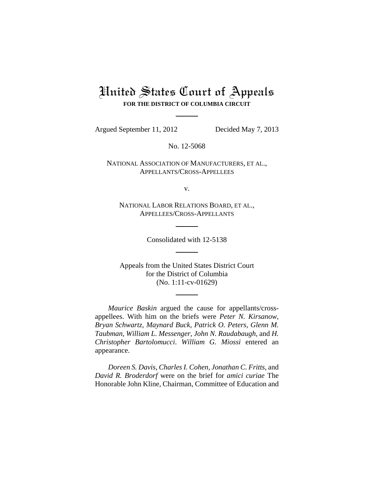# United States Court of Appeals **FOR THE DISTRICT OF COLUMBIA CIRCUIT**

Argued September 11, 2012 Decided May 7, 2013

No. 12-5068

NATIONAL ASSOCIATION OF MANUFACTURERS, ET AL., APPELLANTS/CROSS-APPELLEES

v.

NATIONAL LABOR RELATIONS BOARD, ET AL., APPELLEES/CROSS-APPELLANTS

Consolidated with 12-5138

Appeals from the United States District Court for the District of Columbia (No. 1:11-cv-01629)

*Maurice Baskin* argued the cause for appellants/crossappellees. With him on the briefs were *Peter N. Kirsanow, Bryan Schwartz, Maynard Buck, Patrick O. Peters, Glenn M. Taubman, William L. Messenger, John N. Raudabaugh,* and *H. Christopher Bartolomucci*. *William G. Miossi* entered an appearance.

*Doreen S. Davis, Charles I. Cohen, Jonathan C. Fritts,* and *David R. Broderdorf* were on the brief for *amici curiae* The Honorable John Kline, Chairman, Committee of Education and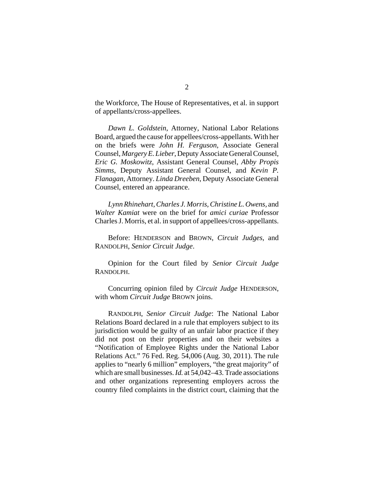the Workforce, The House of Representatives, et al. in support of appellants/cross-appellees.

*Dawn L. Goldstein*, Attorney, National Labor Relations Board, argued the cause for appellees/cross-appellants. With her on the briefs were *John H. Ferguson*, Associate General Counsel, *Margery E. Lieber*, Deputy Associate General Counsel, *Eric G. Moskowitz*, Assistant General Counsel, *Abby Propis Simms*, Deputy Assistant General Counsel, and *Kevin P. Flanagan*, Attorney. *Linda Dreeben*, Deputy Associate General Counsel, entered an appearance.

*Lynn Rhinehart, Charles J. Morris, Christine L. Owens,* and *Walter Kamiat* were on the brief for *amici curiae* Professor Charles J. Morris, et al. in support of appellees/cross-appellants.

Before: HENDERSON and BROWN, *Circuit Judges*, and RANDOLPH, *Senior Circuit Judge*.

Opinion for the Court filed by *Senior Circuit Judge* RANDOLPH.

Concurring opinion filed by *Circuit Judge* HENDERSON, with whom *Circuit Judge* BROWN joins.

RANDOLPH, *Senior Circuit Judge*: The National Labor Relations Board declared in a rule that employers subject to its jurisdiction would be guilty of an unfair labor practice if they did not post on their properties and on their websites a "Notification of Employee Rights under the National Labor Relations Act." 76 Fed. Reg. 54,006 (Aug. 30, 2011). The rule applies to "nearly 6 million" employers, "the great majority" of which are small businesses. *Id.* at 54,042–43. Trade associations and other organizations representing employers across the country filed complaints in the district court, claiming that the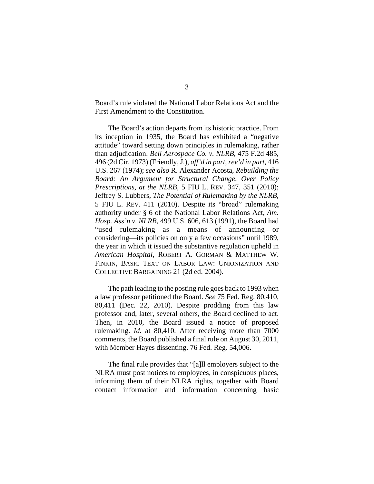Board's rule violated the National Labor Relations Act and the First Amendment to the Constitution.

The Board's action departs from its historic practice. From its inception in 1935, the Board has exhibited a "negative attitude" toward setting down principles in rulemaking, rather than adjudication. *Bell Aerospace Co. v. NLRB*, 475 F.2d 485, 496 (2d Cir. 1973) (Friendly, J.), *aff'd in part, rev'd in part*, 416 U.S. 267 (1974); *see also* R. Alexander Acosta, *Rebuilding the Board: An Argument for Structural Change, Over Policy Prescriptions, at the NLRB*, 5 FIU L. REV. 347, 351 (2010); Jeffrey S. Lubbers, *The Potential of Rulemaking by the NLRB*, 5 FIU L. REV. 411 (2010). Despite its "broad" rulemaking authority under § 6 of the National Labor Relations Act, *Am. Hosp. Ass'n v. NLRB*, 499 U.S. 606, 613 (1991), the Board had "used rulemaking as a means of announcing—or considering—its policies on only a few occasions" until 1989, the year in which it issued the substantive regulation upheld in *American Hospital*, ROBERT A. GORMAN & MATTHEW W. FINKIN, BASIC TEXT ON LABOR LAW: UNIONIZATION AND COLLECTIVE BARGAINING 21 (2d ed. 2004).

The path leading to the posting rule goes back to 1993 when a law professor petitioned the Board. *See* 75 Fed. Reg. 80,410, 80,411 (Dec. 22, 2010). Despite prodding from this law professor and, later, several others, the Board declined to act. Then, in 2010, the Board issued a notice of proposed rulemaking. *Id.* at 80,410. After receiving more than 7000 comments, the Board published a final rule on August 30, 2011, with Member Hayes dissenting. 76 Fed. Reg. 54,006.

The final rule provides that "[a]ll employers subject to the NLRA must post notices to employees, in conspicuous places, informing them of their NLRA rights, together with Board contact information and information concerning basic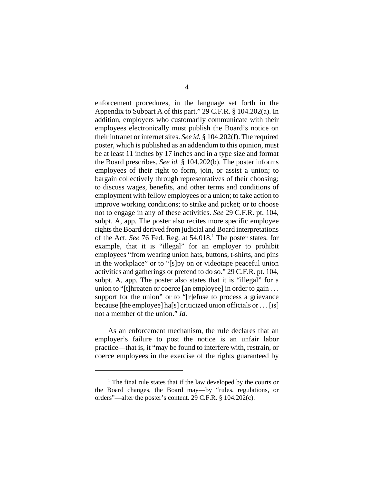enforcement procedures, in the language set forth in the Appendix to Subpart A of this part." 29 C.F.R. § 104.202(a). In addition, employers who customarily communicate with their employees electronically must publish the Board's notice on their intranet or internet sites. *See id.* § 104.202(f). The required poster, which is published as an addendum to this opinion, must be at least 11 inches by 17 inches and in a type size and format the Board prescribes. *See id.* § 104.202(b). The poster informs employees of their right to form, join, or assist a union; to bargain collectively through representatives of their choosing; to discuss wages, benefits, and other terms and conditions of employment with fellow employees or a union; to take action to improve working conditions; to strike and picket; or to choose not to engage in any of these activities. *See* 29 C.F.R. pt. 104, subpt. A, app. The poster also recites more specific employee rights the Board derived from judicial and Board interpretations of the Act. See 76 Fed. Reg. at 54,018.<sup>1</sup> The poster states, for example, that it is "illegal" for an employer to prohibit employees "from wearing union hats, buttons, t-shirts, and pins in the workplace" or to "[s]py on or videotape peaceful union activities and gatherings or pretend to do so." 29 C.F.R. pt. 104, subpt. A, app. The poster also states that it is "illegal" for a union to "[t]hreaten or coerce [an employee] in order to gain . . . support for the union" or to "[r]efuse to process a grievance because [the employee] ha[s] criticized union officials or  $\dots$  [is] not a member of the union." *Id.*

As an enforcement mechanism, the rule declares that an employer's failure to post the notice is an unfair labor practice—that is, it "may be found to interfere with, restrain, or coerce employees in the exercise of the rights guaranteed by

<sup>&</sup>lt;sup>1</sup> The final rule states that if the law developed by the courts or the Board changes, the Board may—by "rules, regulations, or orders"—alter the poster's content. 29 C.F.R. § 104.202(c).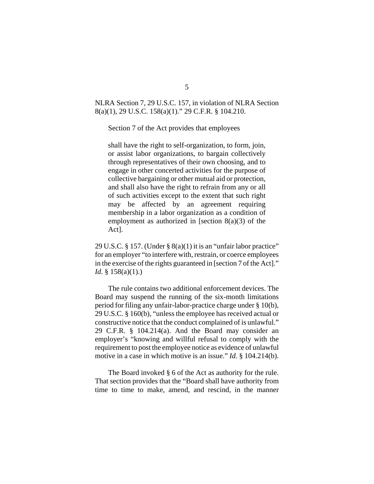NLRA Section 7, 29 U.S.C. 157, in violation of NLRA Section 8(a)(1), 29 U.S.C. 158(a)(1)." 29 C.F.R. § 104.210.

Section 7 of the Act provides that employees

shall have the right to self-organization, to form, join, or assist labor organizations, to bargain collectively through representatives of their own choosing, and to engage in other concerted activities for the purpose of collective bargaining or other mutual aid or protection, and shall also have the right to refrain from any or all of such activities except to the extent that such right may be affected by an agreement requiring membership in a labor organization as a condition of employment as authorized in [section  $8(a)(3)$  of the Act].

29 U.S.C. § 157. (Under § 8(a)(1) it is an "unfair labor practice" for an employer "to interfere with, restrain, or coerce employees in the exercise of the rights guaranteed in [section 7 of the Act]." *Id.* § 158(a)(1).)

The rule contains two additional enforcement devices. The Board may suspend the running of the six-month limitations period for filing any unfair-labor-practice charge under § 10(b), 29 U.S.C. § 160(b), "unless the employee has received actual or constructive notice that the conduct complained of is unlawful." 29 C.F.R. § 104.214(a). And the Board may consider an employer's "knowing and willful refusal to comply with the requirement to post the employee notice as evidence of unlawful motive in a case in which motive is an issue." *Id*. § 104.214(b).

The Board invoked § 6 of the Act as authority for the rule. That section provides that the "Board shall have authority from time to time to make, amend, and rescind, in the manner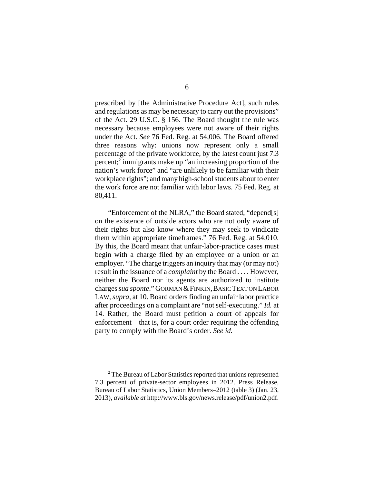prescribed by [the Administrative Procedure Act], such rules and regulations as may be necessary to carry out the provisions" of the Act. 29 U.S.C. § 156. The Board thought the rule was necessary because employees were not aware of their rights under the Act. *See* 76 Fed. Reg. at 54,006. The Board offered three reasons why: unions now represent only a small percentage of the private workforce, by the latest count just 7.3 percent;<sup>2</sup> immigrants make up "an increasing proportion of the nation's work force" and "are unlikely to be familiar with their workplace rights"; and many high-school students about to enter the work force are not familiar with labor laws. 75 Fed. Reg. at 80,411.

"Enforcement of the NLRA," the Board stated, "depend[s] on the existence of outside actors who are not only aware of their rights but also know where they may seek to vindicate them within appropriate timeframes." 76 Fed. Reg. at 54,010. By this, the Board meant that unfair-labor-practice cases must begin with a charge filed by an employee or a union or an employer. "The charge triggers an inquiry that may (or may not) result in the issuance of a *complaint* by the Board . . . . However, neither the Board nor its agents are authorized to institute charges *sua sponte*." GORMAN & FINKIN, BASIC TEXT ON LABOR LAW, *supra*, at 10. Board orders finding an unfair labor practice after proceedings on a complaint are "not self-executing." *Id.* at 14. Rather, the Board must petition a court of appeals for enforcement—that is, for a court order requiring the offending party to comply with the Board's order. *See id.*

<sup>&</sup>lt;sup>2</sup> The Bureau of Labor Statistics reported that unions represented 7.3 percent of private-sector employees in 2012. Press Release, Bureau of Labor Statistics, Union Members–2012 (table 3) (Jan. 23, 2013), *available at* http://www.bls.gov/news.release/pdf/union2.pdf.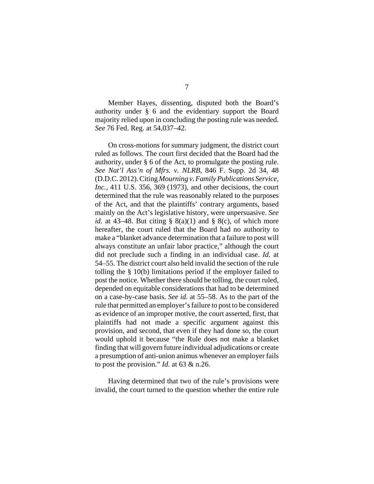Member Hayes, dissenting, disputed both the Board's authority under § 6 and the evidentiary support the Board majority relied upon in concluding the posting rule was needed. *See* 76 Fed. Reg. at 54,037–42.

On cross-motions for summary judgment, the district court ruled as follows. The court first decided that the Board had the authority, under § 6 of the Act, to promulgate the posting rule. *See Nat'l Ass'n of Mfrs. v. NLRB*, 846 F. Supp. 2d 34, 48 (D.D.C. 2012). Citing *Mourning v. Family Publications Service, Inc.*, 411 U.S. 356, 369 (1973), and other decisions, the court determined that the rule was reasonably related to the purposes of the Act, and that the plaintiffs' contrary arguments, based mainly on the Act's legislative history, were unpersuasive. *See id.* at 43–48. But citing  $\S$  8(a)(1) and  $\S$  8(c), of which more hereafter, the court ruled that the Board had no authority to make a "blanket advance determination that a failure to post will always constitute an unfair labor practice," although the court did not preclude such a finding in an individual case. *Id.* at 54–55. The district court also held invalid the section of the rule tolling the § 10(b) limitations period if the employer failed to post the notice. Whether there should be tolling, the court ruled, depended on equitable considerations that had to be determined on a case-by-case basis. *See id.* at 55–58. As to the part of the rule that permitted an employer's failure to post to be considered as evidence of an improper motive, the court asserted, first, that plaintiffs had not made a specific argument against this provision, and second, that even if they had done so, the court would uphold it because "the Rule does not make a blanket finding that will govern future individual adjudications or create a presumption of anti-union animus whenever an employer fails to post the provision." *Id.* at 63 & n.26.

Having determined that two of the rule's provisions were invalid, the court turned to the question whether the entire rule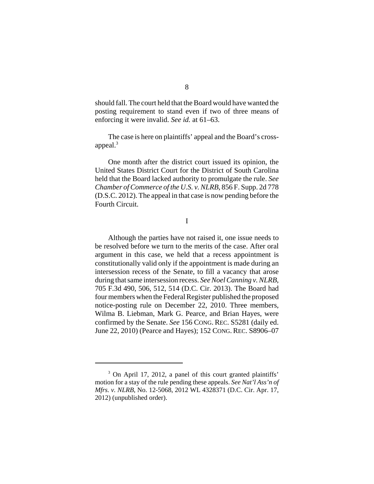should fall. The court held that the Board would have wanted the posting requirement to stand even if two of three means of enforcing it were invalid. *See id.* at 61–63.

The case is here on plaintiffs' appeal and the Board's crossappeal.<sup>3</sup>

One month after the district court issued its opinion, the United States District Court for the District of South Carolina held that the Board lacked authority to promulgate the rule. *See Chamber of Commerce of the U.S. v. NLRB*, 856 F. Supp. 2d 778 (D.S.C. 2012). The appeal in that case is now pending before the Fourth Circuit.

I

Although the parties have not raised it, one issue needs to be resolved before we turn to the merits of the case. After oral argument in this case, we held that a recess appointment is constitutionally valid only if the appointment is made during an intersession recess of the Senate, to fill a vacancy that arose during that same intersession recess. *See Noel Canning v. NLRB*, 705 F.3d 490, 506, 512, 514 (D.C. Cir. 2013). The Board had four members when the Federal Register published the proposed notice-posting rule on December 22, 2010. Three members, Wilma B. Liebman, Mark G. Pearce, and Brian Hayes, were confirmed by the Senate. *See* 156 CONG. REC. S5281 (daily ed. June 22, 2010) (Pearce and Hayes); 152 CONG. REC. S8906–07

<sup>&</sup>lt;sup>3</sup> On April 17, 2012, a panel of this court granted plaintiffs' motion for a stay of the rule pending these appeals. *See Nat'l Ass'n of Mfrs. v. NLRB*, No. 12-5068, 2012 WL 4328371 (D.C. Cir. Apr. 17, 2012) (unpublished order).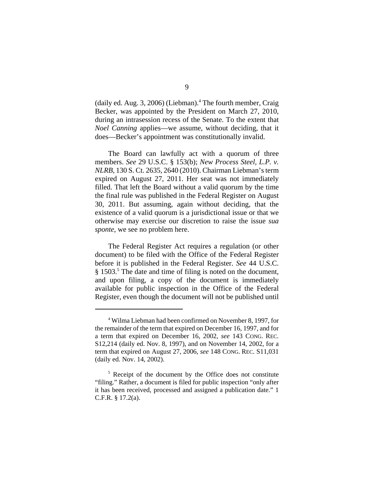(daily ed. Aug. 3, 2006) (Liebman).<sup>4</sup> The fourth member, Craig Becker, was appointed by the President on March 27, 2010, during an intrasession recess of the Senate. To the extent that *Noel Canning* applies—we assume, without deciding, that it does—Becker's appointment was constitutionally invalid.

The Board can lawfully act with a quorum of three members. *See* 29 U.S.C. § 153(b); *New Process Steel, L.P. v. NLRB*, 130 S. Ct. 2635, 2640 (2010). Chairman Liebman's term expired on August 27, 2011. Her seat was not immediately filled. That left the Board without a valid quorum by the time the final rule was published in the Federal Register on August 30, 2011. But assuming, again without deciding, that the existence of a valid quorum is a jurisdictional issue or that we otherwise may exercise our discretion to raise the issue *sua sponte*, we see no problem here.

The Federal Register Act requires a regulation (or other document) to be filed with the Office of the Federal Register before it is published in the Federal Register. *See* 44 U.S.C. § 1503.<sup>5</sup> The date and time of filing is noted on the document, and upon filing, a copy of the document is immediately available for public inspection in the Office of the Federal Register, even though the document will not be published until

<sup>4</sup> Wilma Liebman had been confirmed on November 8, 1997, for the remainder of the term that expired on December 16, 1997, and for a term that expired on December 16, 2002, *see* 143 CONG. REC. S12,214 (daily ed. Nov. 8, 1997), and on November 14, 2002, for a term that expired on August 27, 2006, *see* 148 CONG. REC. S11,031 (daily ed. Nov. 14, 2002).

<sup>&</sup>lt;sup>5</sup> Receipt of the document by the Office does not constitute "filing." Rather, a document is filed for public inspection "only after it has been received, processed and assigned a publication date." 1 C.F.R. § 17.2(a).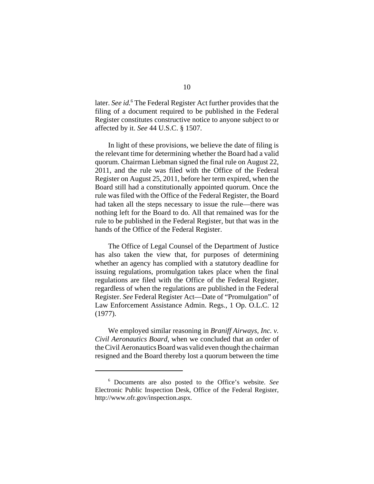later. *See id.*<sup>6</sup> The Federal Register Act further provides that the filing of a document required to be published in the Federal Register constitutes constructive notice to anyone subject to or affected by it. *See* 44 U.S.C. § 1507.

In light of these provisions, we believe the date of filing is the relevant time for determining whether the Board had a valid quorum. Chairman Liebman signed the final rule on August 22, 2011, and the rule was filed with the Office of the Federal Register on August 25, 2011, before her term expired, when the Board still had a constitutionally appointed quorum. Once the rule was filed with the Office of the Federal Register, the Board had taken all the steps necessary to issue the rule—there was nothing left for the Board to do. All that remained was for the rule to be published in the Federal Register, but that was in the hands of the Office of the Federal Register.

The Office of Legal Counsel of the Department of Justice has also taken the view that, for purposes of determining whether an agency has complied with a statutory deadline for issuing regulations, promulgation takes place when the final regulations are filed with the Office of the Federal Register, regardless of when the regulations are published in the Federal Register. *See* Federal Register Act—Date of "Promulgation" of Law Enforcement Assistance Admin. Regs., 1 Op. O.L.C. 12 (1977).

We employed similar reasoning in *Braniff Airways, Inc. v. Civil Aeronautics Board*, when we concluded that an order of the Civil Aeronautics Board was valid even though the chairman resigned and the Board thereby lost a quorum between the time

<sup>6</sup> Documents are also posted to the Office's website. *See* Electronic Public Inspection Desk, Office of the Federal Register, http://www.ofr.gov/inspection.aspx.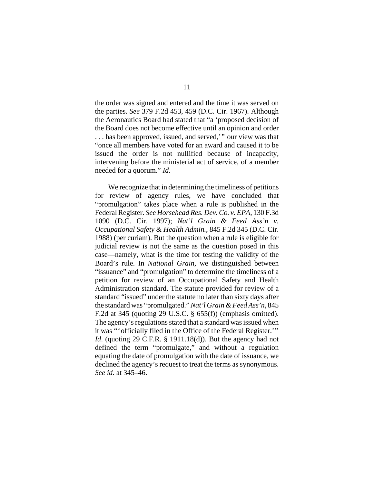the order was signed and entered and the time it was served on the parties. *See* 379 F.2d 453, 459 (D.C. Cir. 1967). Although the Aeronautics Board had stated that "a 'proposed decision of the Board does not become effective until an opinion and order . . . has been approved, issued, and served,'" our view was that "once all members have voted for an award and caused it to be issued the order is not nullified because of incapacity, intervening before the ministerial act of service, of a member needed for a quorum." *Id.* 

We recognize that in determining the timeliness of petitions for review of agency rules, we have concluded that "promulgation" takes place when a rule is published in the Federal Register. *See Horsehead Res. Dev. Co. v. EPA*, 130 F.3d 1090 (D.C. Cir. 1997); *Nat'l Grain & Feed Ass'n v. Occupational Safety & Health Admin.*, 845 F.2d 345 (D.C. Cir. 1988) (per curiam). But the question when a rule is eligible for judicial review is not the same as the question posed in this case—namely, what is the time for testing the validity of the Board's rule. In *National Grain*, we distinguished between "issuance" and "promulgation" to determine the timeliness of a petition for review of an Occupational Safety and Health Administration standard. The statute provided for review of a standard "issued" under the statute no later than sixty days after the standard was "promulgated." *Nat'l Grain & Feed Ass'n*, 845 F.2d at 345 (quoting 29 U.S.C. § 655(f)) (emphasis omitted). The agency's regulations stated that a standard was issued when it was "'officially filed in the Office of the Federal Register.'" *Id.* (quoting 29 C.F.R. § 1911.18(d)). But the agency had not defined the term "promulgate," and without a regulation equating the date of promulgation with the date of issuance, we declined the agency's request to treat the terms as synonymous. *See id.* at 345–46.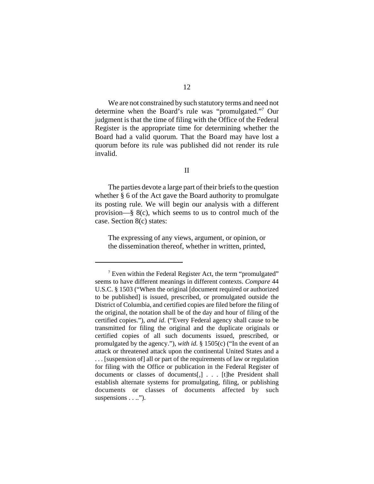We are not constrained by such statutory terms and need not determine when the Board's rule was "promulgated."7 Our judgment is that the time of filing with the Office of the Federal Register is the appropriate time for determining whether the Board had a valid quorum. That the Board may have lost a quorum before its rule was published did not render its rule invalid.

# II

The parties devote a large part of their briefs to the question whether § 6 of the Act gave the Board authority to promulgate its posting rule. We will begin our analysis with a different provision—§ 8(c), which seems to us to control much of the case. Section 8(c) states:

The expressing of any views, argument, or opinion, or the dissemination thereof, whether in written, printed,

 $7$  Even within the Federal Register Act, the term "promulgated" seems to have different meanings in different contexts. *Compare* 44 U.S.C. § 1503 ("When the original [document required or authorized to be published] is issued, prescribed, or promulgated outside the District of Columbia, and certified copies are filed before the filing of the original, the notation shall be of the day and hour of filing of the certified copies."), *and id*. ("Every Federal agency shall cause to be transmitted for filing the original and the duplicate originals or certified copies of all such documents issued, prescribed, or promulgated by the agency."), *with id.* § 1505(c) ("In the event of an attack or threatened attack upon the continental United States and a . . . [suspension of] all or part of the requirements of law or regulation for filing with the Office or publication in the Federal Register of documents or classes of documents[,] . . . [t]he President shall establish alternate systems for promulgating, filing, or publishing documents or classes of documents affected by such suspensions . . ..").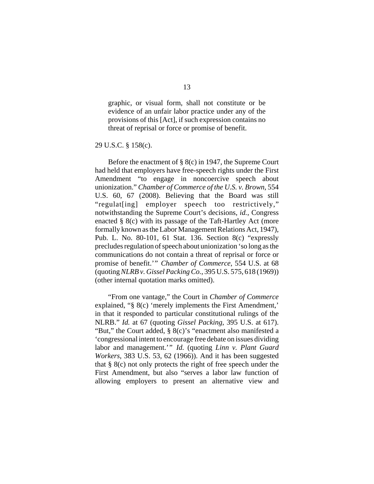graphic, or visual form, shall not constitute or be evidence of an unfair labor practice under any of the provisions of this [Act], if such expression contains no threat of reprisal or force or promise of benefit.

29 U.S.C. § 158(c).

Before the enactment of § 8(c) in 1947, the Supreme Court had held that employers have free-speech rights under the First Amendment "to engage in noncoercive speech about unionization." *Chamber of Commerce of the U.S. v. Brown*, 554 U.S. 60, 67 (2008). Believing that the Board was still "regulat[ing] employer speech too restrictively," notwithstanding the Supreme Court's decisions, *id.*, Congress enacted § 8(c) with its passage of the Taft-Hartley Act (more formally known as the Labor Management Relations Act, 1947), Pub. L. No. 80-101, 61 Stat. 136. Section 8(c) "expressly precludes regulation of speech about unionization 'so long as the communications do not contain a threat of reprisal or force or promise of benefit.'" *Chamber of Commerce*, 554 U.S. at 68 (quoting *NLRB v. Gissel Packing Co.*, 395 U.S. 575, 618 (1969)) (other internal quotation marks omitted).

"From one vantage," the Court in *Chamber of Commerce* explained, "§ 8(c) 'merely implements the First Amendment,' in that it responded to particular constitutional rulings of the NLRB." *Id.* at 67 (quoting *Gissel Packing*, 395 U.S. at 617). "But," the Court added, § 8(c)'s "enactment also manifested a 'congressional intent to encourage free debate on issues dividing labor and management.'" *Id.* (quoting *Linn v. Plant Guard Workers*, 383 U.S. 53, 62 (1966)). And it has been suggested that § 8(c) not only protects the right of free speech under the First Amendment, but also "serves a labor law function of allowing employers to present an alternative view and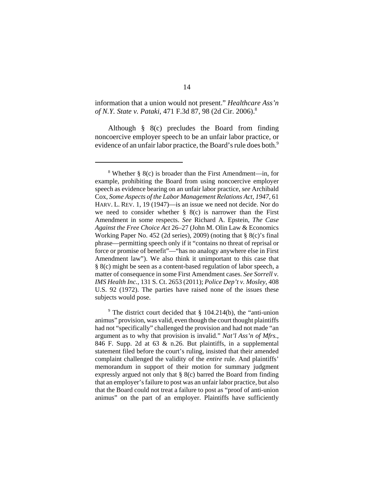information that a union would not present." *Healthcare Ass'n of N.Y. State v. Pataki*, 471 F.3d 87, 98 (2d Cir. 2006).8

Although § 8(c) precludes the Board from finding noncoercive employer speech to be an unfair labor practice, or evidence of an unfair labor practice, the Board's rule does both.<sup>9</sup>

<sup>9</sup> The district court decided that § 104.214(b), the "anti-union animus" provision, was valid, even though the court thought plaintiffs had not "specifically" challenged the provision and had not made "an argument as to why that provision is invalid." *Nat'l Ass'n of Mfrs.*, 846 F. Supp. 2d at 63 & n.26. But plaintiffs, in a supplemental statement filed before the court's ruling, insisted that their amended complaint challenged the validity of the *entire* rule. And plaintiffs' memorandum in support of their motion for summary judgment expressly argued not only that § 8(c) barred the Board from finding that an employer's failure to post was an unfair labor practice, but also that the Board could not treat a failure to post as "proof of anti-union animus" on the part of an employer. Plaintiffs have sufficiently

<sup>&</sup>lt;sup>8</sup> Whether § 8(c) is broader than the First Amendment—in, for example, prohibiting the Board from using noncoercive employer speech as evidence bearing on an unfair labor practice, *see* Archibald Cox, *Some Aspects of the Labor Management Relations Act, 1947*, 61 HARV. L. REV. 1, 19 (1947)—is an issue we need not decide. Nor do we need to consider whether  $\S$  8(c) is narrower than the First Amendment in some respects. *See* Richard A. Epstein, *The Case Against the Free Choice Act* 26–27 (John M. Olin Law & Economics Working Paper No. 452 (2d series), 2009) (noting that § 8(c)'s final phrase—permitting speech only if it "contains no threat of reprisal or force or promise of benefit"—"has no analogy anywhere else in First Amendment law"). We also think it unimportant to this case that § 8(c) might be seen as a content-based regulation of labor speech, a matter of consequence in some First Amendment cases. *See Sorrell v. IMS Health Inc.*, 131 S. Ct. 2653 (2011); *Police Dep't v. Mosley*, 408 U.S. 92 (1972). The parties have raised none of the issues these subjects would pose.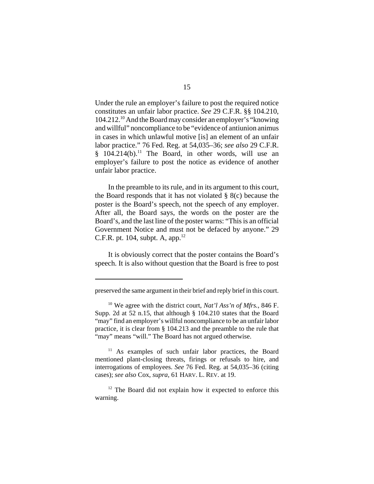Under the rule an employer's failure to post the required notice constitutes an unfair labor practice. *See* 29 C.F.R. §§ 104.210, 104.212.10 And the Board may consider an employer's "knowing and willful" noncompliance to be "evidence of antiunion animus in cases in which unlawful motive [is] an element of an unfair labor practice." 76 Fed. Reg. at 54,035–36; *see also* 29 C.F.R.  $§$  104.214(b).<sup>11</sup> The Board, in other words, will use an employer's failure to post the notice as evidence of another unfair labor practice.

In the preamble to its rule, and in its argument to this court, the Board responds that it has not violated  $\S$  8(c) because the poster is the Board's speech, not the speech of any employer. After all, the Board says, the words on the poster are the Board's, and the last line of the poster warns: "This is an official Government Notice and must not be defaced by anyone." 29 C.F.R. pt. 104, subpt. A, app. $^{12}$ 

It is obviously correct that the poster contains the Board's speech. It is also without question that the Board is free to post

preserved the same argument in their brief and reply brief in this court.

<sup>10</sup> We agree with the district court, *Nat'l Ass'n of Mfrs.*, 846 F. Supp. 2d at 52 n.15, that although § 104.210 states that the Board "may" find an employer's willful noncompliance to be an unfair labor practice, it is clear from § 104.213 and the preamble to the rule that "may" means "will." The Board has not argued otherwise.

<sup>&</sup>lt;sup>11</sup> As examples of such unfair labor practices, the Board mentioned plant-closing threats, firings or refusals to hire, and interrogations of employees. *See* 76 Fed. Reg. at 54,035–36 (citing cases); *see also* Cox, *supra*, 61 HARV. L. REV. at 19.

<sup>&</sup>lt;sup>12</sup> The Board did not explain how it expected to enforce this warning.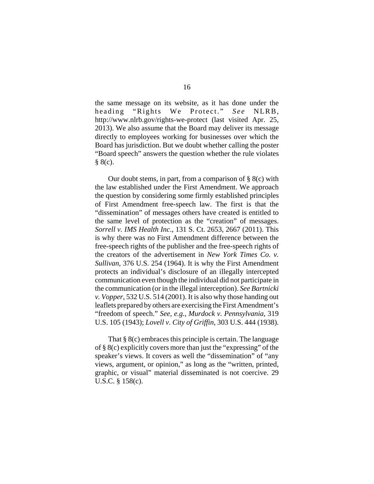the same message on its website, as it has done under the heading "Rights We Protect." *See* NLRB, http://www.nlrb.gov/rights-we-protect (last visited Apr. 25, 2013). We also assume that the Board may deliver its message directly to employees working for businesses over which the Board has jurisdiction. But we doubt whether calling the poster "Board speech" answers the question whether the rule violates  $§ 8(c).$ 

Our doubt stems, in part, from a comparison of  $\S$  8(c) with the law established under the First Amendment. We approach the question by considering some firmly established principles of First Amendment free-speech law. The first is that the "dissemination" of messages others have created is entitled to the same level of protection as the "creation" of messages. *Sorrell v. IMS Health Inc*., 131 S. Ct. 2653, 2667 (2011). This is why there was no First Amendment difference between the free-speech rights of the publisher and the free-speech rights of the creators of the advertisement in *New York Times Co. v. Sullivan*, 376 U.S. 254 (1964). It is why the First Amendment protects an individual's disclosure of an illegally intercepted communication even though the individual did not participate in the communication (or in the illegal interception). *See Bartnicki v. Vopper*, 532 U.S. 514 (2001). It is also why those handing out leaflets prepared by others are exercising the First Amendment's "freedom of speech." *See, e.g.*, *Murdock v. Pennsylvania*, 319 U.S. 105 (1943); *Lovell v. City of Griffin*, 303 U.S. 444 (1938).

That § 8(c) embraces this principle is certain. The language of § 8(c) explicitly covers more than just the "expressing" of the speaker's views. It covers as well the "dissemination" of "any views, argument, or opinion," as long as the "written, printed, graphic, or visual" material disseminated is not coercive. 29 U.S.C. § 158(c).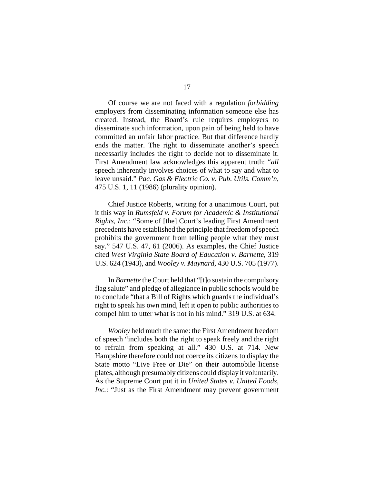Of course we are not faced with a regulation *forbidding* employers from disseminating information someone else has created. Instead, the Board's rule requires employers to disseminate such information, upon pain of being held to have committed an unfair labor practice. But that difference hardly ends the matter. The right to disseminate another's speech necessarily includes the right to decide not to disseminate it. First Amendment law acknowledges this apparent truth: "*all* speech inherently involves choices of what to say and what to leave unsaid." *Pac. Gas & Electric Co. v. Pub. Utils. Comm'n*, 475 U.S. 1, 11 (1986) (plurality opinion).

Chief Justice Roberts, writing for a unanimous Court, put it this way in *Rumsfeld v. Forum for Academic & Institutional Rights, Inc.*: "Some of [the] Court's leading First Amendment precedents have established the principle that freedom of speech prohibits the government from telling people what they must say." 547 U.S. 47, 61 (2006). As examples, the Chief Justice cited *West Virginia State Board of Education v. Barnette*, 319 U.S. 624 (1943), and *Wooley v. Maynard*, 430 U.S. 705 (1977).

In *Barnette* the Court held that "[t]o sustain the compulsory flag salute" and pledge of allegiance in public schools would be to conclude "that a Bill of Rights which guards the individual's right to speak his own mind, left it open to public authorities to compel him to utter what is not in his mind." 319 U.S. at 634.

*Wooley* held much the same: the First Amendment freedom of speech "includes both the right to speak freely and the right to refrain from speaking at all." 430 U.S. at 714. New Hampshire therefore could not coerce its citizens to display the State motto "Live Free or Die" on their automobile license plates, although presumably citizens could display it voluntarily. As the Supreme Court put it in *United States v. United Foods, Inc.*: "Just as the First Amendment may prevent government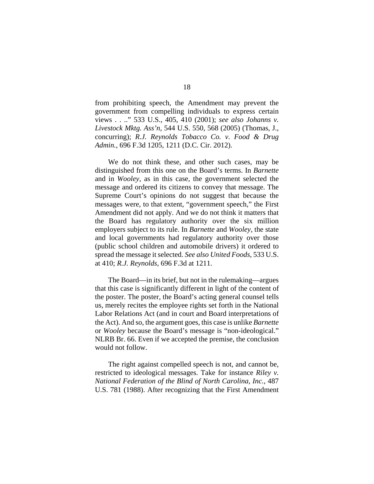from prohibiting speech, the Amendment may prevent the government from compelling individuals to express certain views . . .." 533 U.S., 405, 410 (2001); *see also Johanns v. Livestock Mktg. Ass'n*, 544 U.S. 550, 568 (2005) (Thomas, J., concurring); *R.J. Reynolds Tobacco Co. v. Food & Drug Admin.*, 696 F.3d 1205, 1211 (D.C. Cir. 2012).

We do not think these, and other such cases, may be distinguished from this one on the Board's terms. In *Barnette* and in *Wooley*, as in this case, the government selected the message and ordered its citizens to convey that message. The Supreme Court's opinions do not suggest that because the messages were, to that extent, "government speech," the First Amendment did not apply. And we do not think it matters that the Board has regulatory authority over the six million employers subject to its rule. In *Barnette* and *Wooley*, the state and local governments had regulatory authority over those (public school children and automobile drivers) it ordered to spread the message it selected. *See also United Foods*, 533 U.S. at 410; *R.J. Reynolds*, 696 F.3d at 1211.

The Board—in its brief, but not in the rulemaking—argues that this case is significantly different in light of the content of the poster. The poster, the Board's acting general counsel tells us, merely recites the employee rights set forth in the National Labor Relations Act (and in court and Board interpretations of the Act). And so, the argument goes, this case is unlike *Barnette* or *Wooley* because the Board's message is "non-ideological." NLRB Br. 66. Even if we accepted the premise, the conclusion would not follow.

The right against compelled speech is not, and cannot be, restricted to ideological messages. Take for instance *Riley v. National Federation of the Blind of North Carolina, Inc.*, 487 U.S. 781 (1988). After recognizing that the First Amendment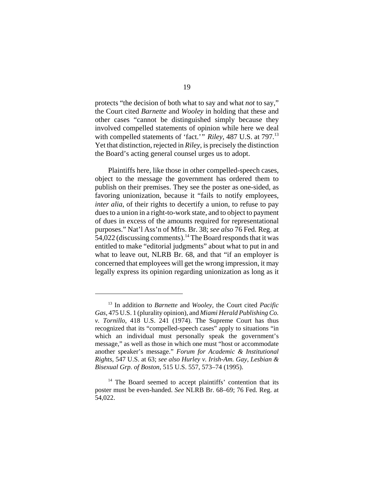protects "the decision of both what to say and what *not* to say," the Court cited *Barnette* and *Wooley* in holding that these and other cases "cannot be distinguished simply because they involved compelled statements of opinion while here we deal with compelled statements of 'fact.'" *Riley*, 487 U.S. at 797.<sup>13</sup> Yet that distinction, rejected in *Riley*, is precisely the distinction the Board's acting general counsel urges us to adopt.

Plaintiffs here, like those in other compelled-speech cases, object to the message the government has ordered them to publish on their premises. They see the poster as one-sided, as favoring unionization, because it "fails to notify employees, *inter alia*, of their rights to decertify a union, to refuse to pay dues to a union in a right-to-work state, and to object to payment of dues in excess of the amounts required for representational purposes." Nat'l Ass'n of Mfrs. Br. 38; *see also* 76 Fed. Reg. at 54,022 (discussing comments).<sup>14</sup> The Board responds that it was entitled to make "editorial judgments" about what to put in and what to leave out, NLRB Br. 68, and that "if an employer is concerned that employees will get the wrong impression, it may legally express its opinion regarding unionization as long as it

<sup>13</sup> In addition to *Barnette* and *Wooley,* the Court cited *Pacific Gas*, 475 U.S. 1 (plurality opinion), and *Miami Herald Publishing Co. v. Tornillo*, 418 U.S. 241 (1974). The Supreme Court has thus recognized that its "compelled-speech cases" apply to situations "in which an individual must personally speak the government's message," as well as those in which one must "host or accommodate another speaker's message." *Forum for Academic & Institutional Rights*, 547 U.S. at 63; *see also Hurley v. Irish-Am. Gay, Lesbian & Bisexual Grp. of Boston*, 515 U.S. 557, 573–74 (1995).

<sup>&</sup>lt;sup>14</sup> The Board seemed to accept plaintiffs' contention that its poster must be even-handed. *See* NLRB Br. 68–69; 76 Fed. Reg. at 54,022.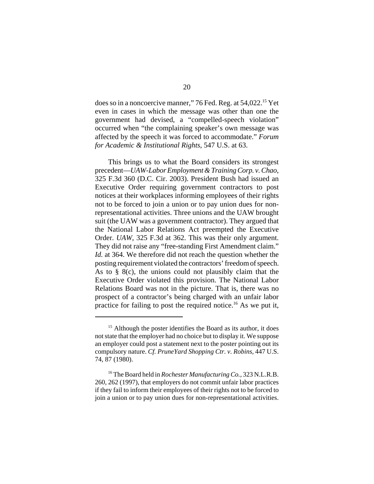does so in a noncoercive manner," 76 Fed. Reg. at 54,022.<sup>15</sup> Yet even in cases in which the message was other than one the government had devised, a "compelled-speech violation" occurred when "the complaining speaker's own message was affected by the speech it was forced to accommodate." *Forum for Academic & Institutional Rights*, 547 U.S. at 63.

This brings us to what the Board considers its strongest precedent—*UAW-Labor Employment & Training Corp. v.Chao*, 325 F.3d 360 (D.C. Cir. 2003). President Bush had issued an Executive Order requiring government contractors to post notices at their workplaces informing employees of their rights not to be forced to join a union or to pay union dues for nonrepresentational activities. Three unions and the UAW brought suit (the UAW was a government contractor). They argued that the National Labor Relations Act preempted the Executive Order. *UAW*, 325 F.3d at 362. This was their only argument. They did not raise any "free-standing First Amendment claim." *Id.* at 364. We therefore did not reach the question whether the posting requirement violated the contractors' freedom of speech. As to § 8(c), the unions could not plausibly claim that the Executive Order violated this provision. The National Labor Relations Board was not in the picture. That is, there was no prospect of a contractor's being charged with an unfair labor practice for failing to post the required notice.<sup>16</sup> As we put it,

 $15$  Although the poster identifies the Board as its author, it does not state that the employer had no choice but to display it. We suppose an employer could post a statement next to the poster pointing out its compulsory nature. *Cf. PruneYard Shopping Ctr. v. Robins*, 447 U.S. 74, 87 (1980).

<sup>16</sup> The Board held in *Rochester Manufacturing Co.*, 323 N.L.R.B. 260, 262 (1997), that employers do not commit unfair labor practices if they fail to inform their employees of their rights not to be forced to join a union or to pay union dues for non-representational activities.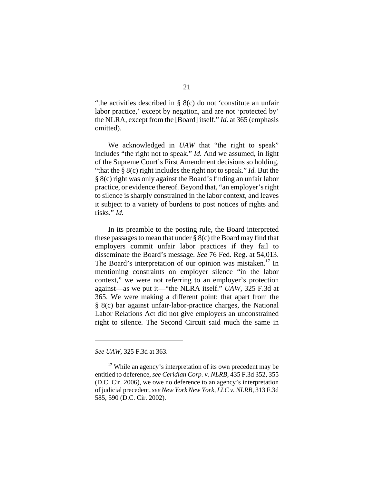"the activities described in § 8(c) do not 'constitute an unfair labor practice,' except by negation, and are not 'protected by' the NLRA, except from the [Board] itself." *Id.* at 365 (emphasis omitted).

We acknowledged in *UAW* that "the right to speak" includes "the right not to speak." *Id.* And we assumed, in light of the Supreme Court's First Amendment decisions so holding, "that the § 8(c) right includes the right not to speak." *Id.* But the § 8(c) right was only against the Board's finding an unfair labor practice, or evidence thereof. Beyond that, "an employer's right to silence is sharply constrained in the labor context, and leaves it subject to a variety of burdens to post notices of rights and risks." *Id.* 

In its preamble to the posting rule, the Board interpreted these passages to mean that under  $\S 8(c)$  the Board may find that employers commit unfair labor practices if they fail to disseminate the Board's message. *See* 76 Fed. Reg. at 54,013. The Board's interpretation of our opinion was mistaken.<sup>17</sup> In mentioning constraints on employer silence "in the labor context," we were not referring to an employer's protection against—as we put it—"the NLRA itself." *UAW*, 325 F.3d at 365. We were making a different point: that apart from the § 8(c) bar against unfair-labor-practice charges, the National Labor Relations Act did not give employers an unconstrained right to silence. The Second Circuit said much the same in

*See UAW*, 325 F.3d at 363.

<sup>&</sup>lt;sup>17</sup> While an agency's interpretation of its own precedent may be entitled to deference, *see Ceridian Corp. v. NLRB*, 435 F.3d 352, 355 (D.C. Cir. 2006), we owe no deference to an agency's interpretation of judicial precedent, *see New York New York, LLC v. NLRB*, 313 F.3d 585, 590 (D.C. Cir. 2002).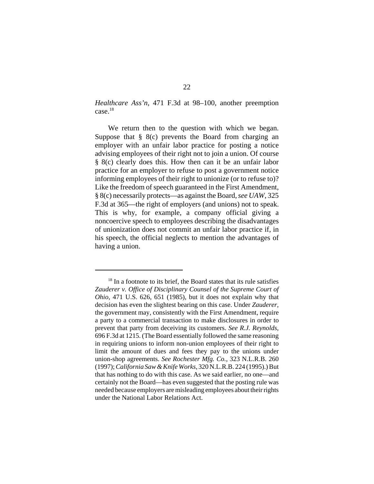*Healthcare Ass'n*, 471 F.3d at 98–100, another preemption case.18

We return then to the question with which we began. Suppose that  $\S$  8(c) prevents the Board from charging an employer with an unfair labor practice for posting a notice advising employees of their right not to join a union. Of course § 8(c) clearly does this. How then can it be an unfair labor practice for an employer to refuse to post a government notice informing employees of their right to unionize (or to refuse to)? Like the freedom of speech guaranteed in the First Amendment, § 8(c) necessarily protects—as against the Board, *see UAW*, 325 F.3d at 365—the right of employers (and unions) not to speak. This is why, for example, a company official giving a noncoercive speech to employees describing the disadvantages of unionization does not commit an unfair labor practice if, in his speech, the official neglects to mention the advantages of having a union.

 $18$  In a footnote to its brief, the Board states that its rule satisfies *Zauderer v. Office of Disciplinary Counsel of the Supreme Court of Ohio*, 471 U.S. 626, 651 (1985), but it does not explain why that decision has even the slightest bearing on this case. Under *Zauderer*, the government may, consistently with the First Amendment, require a party to a commercial transaction to make disclosures in order to prevent that party from deceiving its customers. *See R.J. Reynolds*, 696 F.3d at 1215. (The Board essentially followed the same reasoning in requiring unions to inform non-union employees of their right to limit the amount of dues and fees they pay to the unions under union-shop agreements. *See Rochester Mfg. Co.*, 323 N.L.R.B. 260 (1997); *California Saw & Knife Works*, 320 N.L.R.B. 224 (1995).) But that has nothing to do with this case. As we said earlier, no one—and certainly not the Board—has even suggested that the posting rule was needed because employers are misleading employees about their rights under the National Labor Relations Act.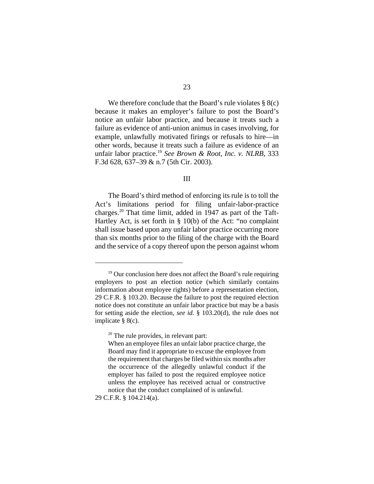We therefore conclude that the Board's rule violates  $\S$  8(c) because it makes an employer's failure to post the Board's notice an unfair labor practice, and because it treats such a failure as evidence of anti-union animus in cases involving, for example, unlawfully motivated firings or refusals to hire—in other words, because it treats such a failure as evidence of an unfair labor practice.19 *See Brown & Root, Inc. v. NLRB*, 333 F.3d 628, 637–39 & n.7 (5th Cir. 2003).

# III

The Board's third method of enforcing its rule is to toll the Act's limitations period for filing unfair-labor-practice charges.<sup>20</sup> That time limit, added in 1947 as part of the Taft-Hartley Act, is set forth in § 10(b) of the Act: "no complaint shall issue based upon any unfair labor practice occurring more than six months prior to the filing of the charge with the Board and the service of a copy thereof upon the person against whom

29 C.F.R. § 104.214(a).

 $19$  Our conclusion here does not affect the Board's rule requiring employers to post an election notice (which similarly contains information about employee rights) before a representation election, 29 C.F.R. § 103.20. Because the failure to post the required election notice does not constitute an unfair labor practice but may be a basis for setting aside the election, *see id.* § 103.20(d), the rule does not implicate § 8(c).

 $20$  The rule provides, in relevant part:

When an employee files an unfair labor practice charge, the Board may find it appropriate to excuse the employee from the requirement that charges be filed within six months after the occurrence of the allegedly unlawful conduct if the employer has failed to post the required employee notice unless the employee has received actual or constructive notice that the conduct complained of is unlawful.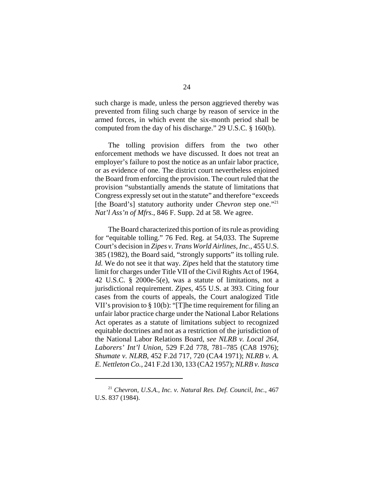such charge is made, unless the person aggrieved thereby was prevented from filing such charge by reason of service in the armed forces, in which event the six-month period shall be computed from the day of his discharge." 29 U.S.C. § 160(b).

The tolling provision differs from the two other enforcement methods we have discussed. It does not treat an employer's failure to post the notice as an unfair labor practice, or as evidence of one. The district court nevertheless enjoined the Board from enforcing the provision. The court ruled that the provision "substantially amends the statute of limitations that Congress expressly set out in the statute" and therefore "exceeds [the Board's] statutory authority under *Chevron* step one."<sup>21</sup> *Nat'l Ass'n of Mfrs.*, 846 F. Supp. 2d at 58. We agree.

The Board characterized this portion of its rule as providing for "equitable tolling." 76 Fed. Reg. at 54,033. The Supreme Court's decision in *Zipes v. Trans World Airlines, Inc.*, 455 U.S. 385 (1982), the Board said, "strongly supports" its tolling rule. *Id.* We do not see it that way*. Zipes* held that the statutory time limit for charges under Title VII of the Civil Rights Act of 1964, 42 U.S.C. § 2000e-5(e), was a statute of limitations, not a jurisdictional requirement. *Zipes*, 455 U.S. at 393. Citing four cases from the courts of appeals, the Court analogized Title VII's provision to § 10(b): "[T]he time requirement for filing an unfair labor practice charge under the National Labor Relations Act operates as a statute of limitations subject to recognized equitable doctrines and not as a restriction of the jurisdiction of the National Labor Relations Board, *see NLRB v. Local 264, Laborers' Int'l Union*, 529 F.2d 778, 781–785 (CA8 1976); *Shumate v. NLRB*, 452 F.2d 717, 720 (CA4 1971); *NLRB v. A. E. Nettleton Co.*, 241 F.2d 130, 133 (CA2 1957); *NLRB v. Itasca*

<sup>21</sup> *Chevron, U.S.A., Inc. v. Natural Res. Def. Council, Inc.*, 467 U.S. 837 (1984).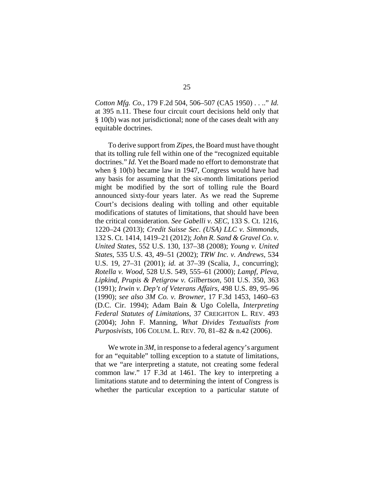*Cotton Mfg. Co.*, 179 F.2d 504, 506–507 (CA5 1950) . . .." *Id.* at 395 n.11. These four circuit court decisions held only that § 10(b) was not jurisdictional; none of the cases dealt with any equitable doctrines.

To derive support from *Zipes,* the Board must have thought that its tolling rule fell within one of the "recognized equitable doctrines." *Id.* Yet the Board made no effort to demonstrate that when § 10(b) became law in 1947, Congress would have had any basis for assuming that the six-month limitations period might be modified by the sort of tolling rule the Board announced sixty-four years later. As we read the Supreme Court's decisions dealing with tolling and other equitable modifications of statutes of limitations, that should have been the critical consideration. *See Gabelli v. SEC*, 133 S. Ct. 1216, 1220–24 (2013); *Credit Suisse Sec. (USA) LLC v. Simmonds*, 132 S. Ct. 1414, 1419–21 (2012); *John R. Sand & Gravel Co. v. United States*, 552 U.S. 130, 137–38 (2008); *Young v. United States*, 535 U.S. 43, 49–51 (2002); *TRW Inc. v. Andrews*, 534 U.S. 19, 27–31 (2001); *id.* at 37–39 (Scalia, J., concurring); *Rotella v. Wood*, 528 U.S. 549, 555–61 (2000); *Lampf, Pleva, Lipkind, Prupis & Petigrow v. Gilbertson*, 501 U.S. 350, 363 (1991); *Irwin v. Dep't of Veterans Affairs*, 498 U.S. 89, 95–96 (1990); *see also 3M Co. v. Browner*, 17 F.3d 1453, 1460–63 (D.C. Cir. 1994); Adam Bain & Ugo Colella, *Interpreting Federal Statutes of Limitations*, 37 CREIGHTON L. REV. 493 (2004); John F. Manning, *What Divides Textualists from Purposivists*, 106 COLUM. L. REV. 70, 81–82 & n.42 (2006).

We wrote in 3*M*, in response to a federal agency's argument for an "equitable" tolling exception to a statute of limitations, that we "are interpreting a statute, not creating some federal common law." 17 F.3d at 1461. The key to interpreting a limitations statute and to determining the intent of Congress is whether the particular exception to a particular statute of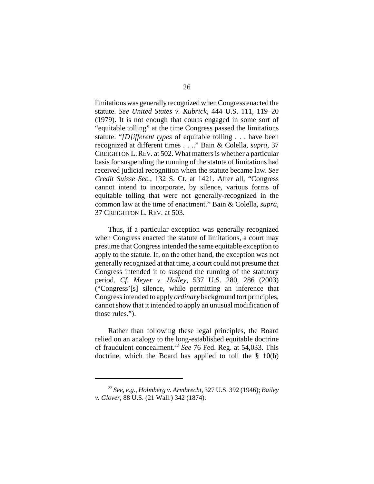limitations was generally recognized when Congress enacted the statute. *See United States v. Kubrick*, 444 U.S. 111, 119–20 (1979). It is not enough that courts engaged in some sort of "equitable tolling" at the time Congress passed the limitations statute. "*[D]ifferent types* of equitable tolling . . . have been recognized at different times . . .." Bain & Colella, *supra*, 37 CREIGHTON L.REV. at 502. What matters is whether a particular basis for suspending the running of the statute of limitations had received judicial recognition when the statute became law. *See Credit Suisse Sec.*, 132 S. Ct. at 1421. After all, "Congress cannot intend to incorporate, by silence, various forms of equitable tolling that were not generally-recognized in the common law at the time of enactment." Bain & Colella, *supra*, 37 CREIGHTON L. REV. at 503.

Thus, if a particular exception was generally recognized when Congress enacted the statute of limitations, a court may presume that Congress intended the same equitable exception to apply to the statute. If, on the other hand, the exception was not generally recognized at that time, a court could not presume that Congress intended it to suspend the running of the statutory period. *Cf. Meyer v. Holley*, 537 U.S. 280, 286 (2003) ("Congress'[s] silence, while permitting an inference that Congress intended to apply *ordinary* background tort principles, cannot show that it intended to apply an unusual modification of those rules.").

Rather than following these legal principles, the Board relied on an analogy to the long-established equitable doctrine of fraudulent concealment.22 *See* 76 Fed. Reg. at 54,033. This doctrine, which the Board has applied to toll the § 10(b)

<sup>22</sup> *See, e.g.*, *Holmberg v. Armbrecht*, 327 U.S. 392 (1946); *Bailey v. Glover*, 88 U.S. (21 Wall.) 342 (1874).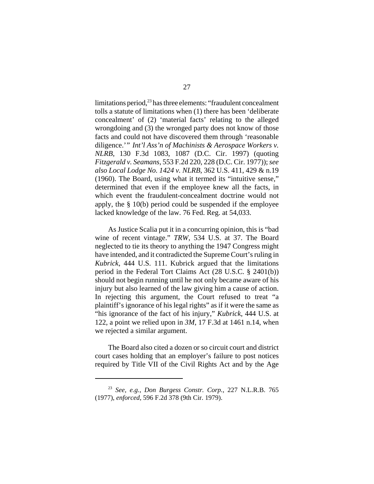limitations period, $^{23}$  has three elements: "fraudulent concealment tolls a statute of limitations when (1) there has been 'deliberate concealment' of (2) 'material facts' relating to the alleged wrongdoing and (3) the wronged party does not know of those facts and could not have discovered them through 'reasonable diligence.'" *Int'l Ass'n of Machinists & Aerospace Workers v. NLRB*, 130 F.3d 1083, 1087 (D.C. Cir. 1997) (quoting *Fitzgerald v. Seamans*, 553 F.2d 220, 228 (D.C. Cir. 1977)); *see also Local Lodge No. 1424 v. NLRB*, 362 U.S. 411, 429 & n.19 (1960). The Board, using what it termed its "intuitive sense," determined that even if the employee knew all the facts, in which event the fraudulent-concealment doctrine would not apply, the § 10(b) period could be suspended if the employee lacked knowledge of the law. 76 Fed. Reg. at 54,033.

As Justice Scalia put it in a concurring opinion, this is "bad wine of recent vintage." *TRW*, 534 U.S. at 37. The Board neglected to tie its theory to anything the 1947 Congress might have intended, and it contradicted the Supreme Court's ruling in *Kubrick*, 444 U.S. 111. Kubrick argued that the limitations period in the Federal Tort Claims Act (28 U.S.C. § 2401(b)) should not begin running until he not only became aware of his injury but also learned of the law giving him a cause of action. In rejecting this argument, the Court refused to treat "a plaintiff's ignorance of his legal rights" as if it were the same as "his ignorance of the fact of his injury," *Kubrick*, 444 U.S. at 122, a point we relied upon in *3M*, 17 F.3d at 1461 n.14, when we rejected a similar argument.

The Board also cited a dozen or so circuit court and district court cases holding that an employer's failure to post notices required by Title VII of the Civil Rights Act and by the Age

<sup>23</sup> *See, e.g.*, *Don Burgess Constr. Corp.*, 227 N.L.R.B. 765 (1977), *enforced*, 596 F.2d 378 (9th Cir. 1979).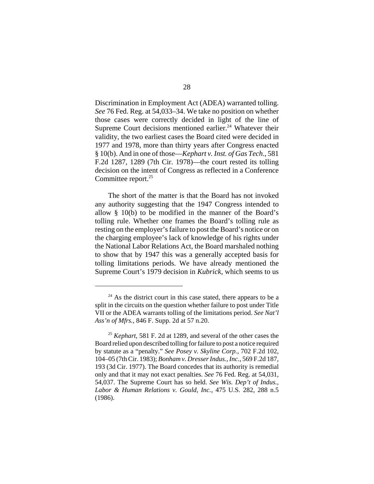Discrimination in Employment Act (ADEA) warranted tolling. *See* 76 Fed. Reg. at 54,033–34. We take no position on whether those cases were correctly decided in light of the line of Supreme Court decisions mentioned earlier.<sup>24</sup> Whatever their validity, the two earliest cases the Board cited were decided in 1977 and 1978, more than thirty years after Congress enacted § 10(b). And in one of those—*Kephart v. Inst. of Gas Tech*., 581 F.2d 1287, 1289 (7th Cir. 1978)—the court rested its tolling decision on the intent of Congress as reflected in a Conference Committee report.<sup>25</sup>

The short of the matter is that the Board has not invoked any authority suggesting that the 1947 Congress intended to allow § 10(b) to be modified in the manner of the Board's tolling rule. Whether one frames the Board's tolling rule as resting on the employer's failure to post the Board's notice or on the charging employee's lack of knowledge of his rights under the National Labor Relations Act, the Board marshaled nothing to show that by 1947 this was a generally accepted basis for tolling limitations periods. We have already mentioned the Supreme Court's 1979 decision in *Kubrick*, which seems to us

 $24$  As the district court in this case stated, there appears to be a split in the circuits on the question whether failure to post under Title VII or the ADEA warrants tolling of the limitations period. *See Nat'l Ass'n of Mfrs.*, 846 F. Supp. 2d at 57 n.20.

<sup>25</sup> *Kephart*, 581 F. 2d at 1289, and several of the other cases the Board relied upon described tolling for failure to post a notice required by statute as a "penalty." *See Posey v. Skyline Corp.*, 702 F.2d 102, 104–05 (7th Cir. 1983); *Bonham v. Dresser Indus., Inc.*, 569 F.2d 187, 193 (3d Cir. 1977). The Board concedes that its authority is remedial only and that it may not exact penalties. *See* 76 Fed. Reg. at 54,031, 54,037. The Supreme Court has so held. *See Wis. Dep't of Indus., Labor & Human Relations v. Gould, Inc.*, 475 U.S. 282, 288 n.5 (1986).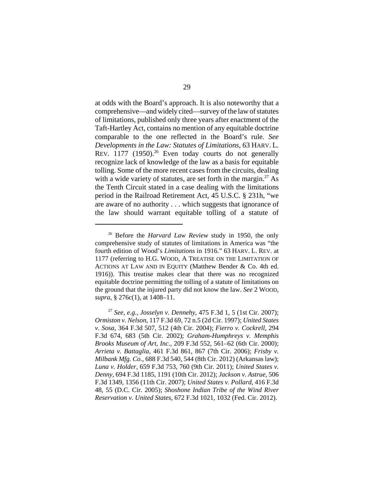at odds with the Board's approach. It is also noteworthy that a comprehensive—and widely cited—survey of the law of statutes of limitations, published only three years after enactment of the Taft-Hartley Act, contains no mention of any equitable doctrine comparable to the one reflected in the Board's rule. *See Developments in the Law: Statutes of Limitations*, 63 HARV. L. REV.  $1177$  (1950).<sup>26</sup> Even today courts do not generally recognize lack of knowledge of the law as a basis for equitable tolling. Some of the more recent cases from the circuits, dealing with a wide variety of statutes, are set forth in the margin.<sup>27</sup> As the Tenth Circuit stated in a case dealing with the limitations period in the Railroad Retirement Act, 45 U.S.C. § 231h, "we are aware of no authority . . . which suggests that ignorance of the law should warrant equitable tolling of a statute of

<sup>26</sup> Before the *Harvard Law Review* study in 1950, the only comprehensive study of statutes of limitations in America was "the fourth edition of Wood's *Limitations* in 1916." 63 HARV. L. REV. at 1177 (referring to H.G. WOOD, A TREATISE ON THE LIMITATION OF ACTIONS AT LAW AND IN EQUITY (Matthew Bender & Co. 4th ed. 1916)). This treatise makes clear that there was no recognized equitable doctrine permitting the tolling of a statute of limitations on the ground that the injured party did not know the law. *See* 2 WOOD, *supra*, § 276c(1), at 1408–11.

<sup>27</sup> *See, e.g., Josselyn v. Dennehy*, 475 F.3d 1, 5 (1st Cir. 2007); *Ormiston v. Nelson*, 117 F.3d 69, 72 n.5 (2d Cir. 1997); *United States v. Sosa*, 364 F.3d 507, 512 (4th Cir. 2004); *Fierro v. Cockrell*, 294 F.3d 674, 683 (5th Cir. 2002); *Graham-Humphreys v. Memphis Brooks Museum of Art, Inc.*, 209 F.3d 552, 561–62 (6th Cir. 2000); *Arrieta v. Battaglia*, 461 F.3d 861, 867 (7th Cir. 2006); *Frisby v. Milbank Mfg. Co.*, 688 F.3d 540, 544 (8th Cir. 2012) (Arkansas law); *Luna v. Holder*, 659 F.3d 753, 760 (9th Cir. 2011); *United States v. Denny*, 694 F.3d 1185, 1191 (10th Cir. 2012); *Jackson v. Astrue*, 506 F.3d 1349, 1356 (11th Cir. 2007); *United States v. Pollard*, 416 F.3d 48, 55 (D.C. Cir. 2005); *Shoshone Indian Tribe of the Wind River Reservation v. United States*, 672 F.3d 1021, 1032 (Fed. Cir. 2012).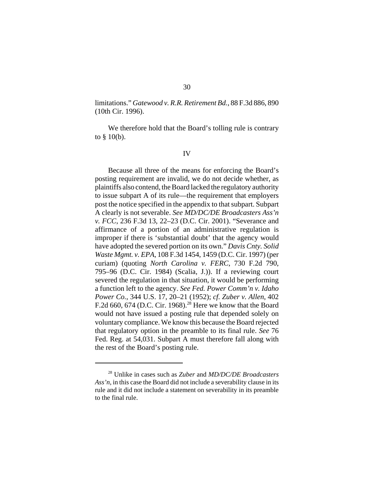limitations." *Gatewood v. R.R. Retirement Bd.*, 88 F.3d 886, 890 (10th Cir. 1996).

We therefore hold that the Board's tolling rule is contrary to  $§$  10(b).

#### IV

Because all three of the means for enforcing the Board's posting requirement are invalid, we do not decide whether, as plaintiffs also contend, the Board lacked the regulatory authority to issue subpart A of its rule—the requirement that employers post the notice specified in the appendix to that subpart. Subpart A clearly is not severable. *See MD/DC/DE Broadcasters Ass'n v. FCC*, 236 F.3d 13, 22–23 (D.C. Cir. 2001). "Severance and affirmance of a portion of an administrative regulation is improper if there is 'substantial doubt' that the agency would have adopted the severed portion on its own." *Davis Cnty. Solid Waste Mgmt. v. EPA*, 108 F.3d 1454, 1459 (D.C. Cir. 1997) (per curiam) (quoting *North Carolina v. FERC*, 730 F.2d 790, 795–96 (D.C. Cir. 1984) (Scalia, J.)). If a reviewing court severed the regulation in that situation, it would be performing a function left to the agency. *See Fed. Power Comm'n v. Idaho Power Co.*, 344 U.S. 17, 20–21 (1952); *cf. Zuber v. Allen*, 402 F.2d 660, 674 (D.C. Cir. 1968).<sup>28</sup> Here we know that the Board would not have issued a posting rule that depended solely on voluntary compliance. We know this because the Board rejected that regulatory option in the preamble to its final rule. *See* 76 Fed. Reg. at 54,031. Subpart A must therefore fall along with the rest of the Board's posting rule.

<sup>28</sup> Unlike in cases such as *Zuber* and *MD/DC/DE Broadcasters Ass'n*, in this case the Board did not include a severability clause in its rule and it did not include a statement on severability in its preamble to the final rule.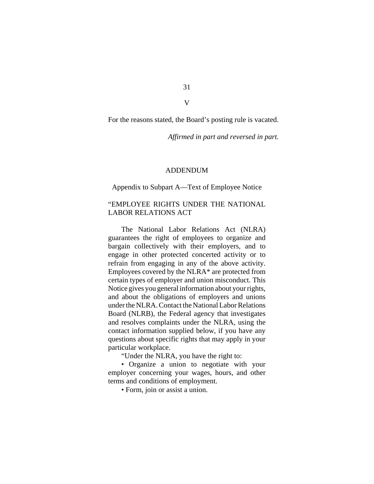31 V

For the reasons stated, the Board's posting rule is vacated.

*Affirmed in part and reversed in part.*

# ADDENDUM

#### Appendix to Subpart A—Text of Employee Notice

# "EMPLOYEE RIGHTS UNDER THE NATIONAL LABOR RELATIONS ACT

The National Labor Relations Act (NLRA) guarantees the right of employees to organize and bargain collectively with their employers, and to engage in other protected concerted activity or to refrain from engaging in any of the above activity. Employees covered by the NLRA\* are protected from certain types of employer and union misconduct. This Notice gives you general information about your rights, and about the obligations of employers and unions under the NLRA. Contact the National Labor Relations Board (NLRB), the Federal agency that investigates and resolves complaints under the NLRA, using the contact information supplied below, if you have any questions about specific rights that may apply in your particular workplace.

"Under the NLRA, you have the right to:

• Organize a union to negotiate with your employer concerning your wages, hours, and other terms and conditions of employment.

• Form, join or assist a union.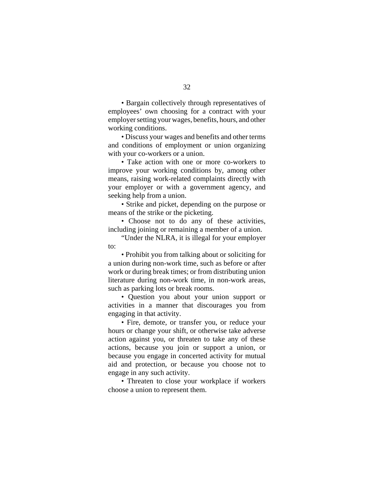• Bargain collectively through representatives of employees' own choosing for a contract with your employer setting your wages, benefits, hours, and other working conditions.

• Discuss your wages and benefits and other terms and conditions of employment or union organizing with your co-workers or a union.

• Take action with one or more co-workers to improve your working conditions by, among other means, raising work-related complaints directly with your employer or with a government agency, and seeking help from a union.

• Strike and picket, depending on the purpose or means of the strike or the picketing.

• Choose not to do any of these activities, including joining or remaining a member of a union.

"Under the NLRA, it is illegal for your employer to:

• Prohibit you from talking about or soliciting for a union during non-work time, such as before or after work or during break times; or from distributing union literature during non-work time, in non-work areas, such as parking lots or break rooms.

• Question you about your union support or activities in a manner that discourages you from engaging in that activity.

• Fire, demote, or transfer you, or reduce your hours or change your shift, or otherwise take adverse action against you, or threaten to take any of these actions, because you join or support a union, or because you engage in concerted activity for mutual aid and protection, or because you choose not to engage in any such activity.

• Threaten to close your workplace if workers choose a union to represent them.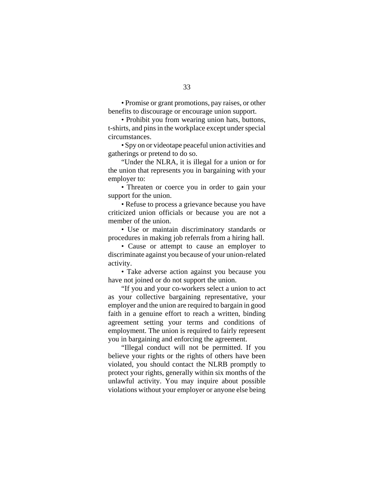• Promise or grant promotions, pay raises, or other benefits to discourage or encourage union support.

• Prohibit you from wearing union hats, buttons, t-shirts, and pins in the workplace except under special circumstances.

• Spy on or videotape peaceful union activities and gatherings or pretend to do so.

"Under the NLRA, it is illegal for a union or for the union that represents you in bargaining with your employer to:

• Threaten or coerce you in order to gain your support for the union.

• Refuse to process a grievance because you have criticized union officials or because you are not a member of the union.

• Use or maintain discriminatory standards or procedures in making job referrals from a hiring hall.

• Cause or attempt to cause an employer to discriminate against you because of your union-related activity.

• Take adverse action against you because you have not joined or do not support the union.

"If you and your co-workers select a union to act as your collective bargaining representative, your employer and the union are required to bargain in good faith in a genuine effort to reach a written, binding agreement setting your terms and conditions of employment. The union is required to fairly represent you in bargaining and enforcing the agreement.

"Illegal conduct will not be permitted. If you believe your rights or the rights of others have been violated, you should contact the NLRB promptly to protect your rights, generally within six months of the unlawful activity. You may inquire about possible violations without your employer or anyone else being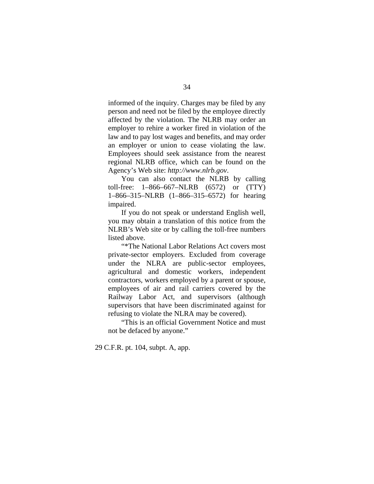informed of the inquiry. Charges may be filed by any person and need not be filed by the employee directly affected by the violation. The NLRB may order an employer to rehire a worker fired in violation of the law and to pay lost wages and benefits, and may order an employer or union to cease violating the law. Employees should seek assistance from the nearest regional NLRB office, which can be found on the Agency's Web site: *http://www.nlrb.gov*.

You can also contact the NLRB by calling toll-free: 1–866–667–NLRB (6572) or (TTY) 1–866–315–NLRB (1–866–315–6572) for hearing impaired.

If you do not speak or understand English well, you may obtain a translation of this notice from the NLRB's Web site or by calling the toll-free numbers listed above.

"\*The National Labor Relations Act covers most private-sector employers. Excluded from coverage under the NLRA are public-sector employees, agricultural and domestic workers, independent contractors, workers employed by a parent or spouse, employees of air and rail carriers covered by the Railway Labor Act, and supervisors (although supervisors that have been discriminated against for refusing to violate the NLRA may be covered).

"This is an official Government Notice and must not be defaced by anyone."

29 C.F.R. pt. 104, subpt. A, app.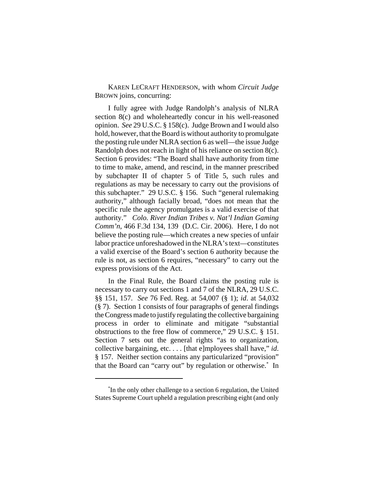KAREN LECRAFT HENDERSON, with whom *Circuit Judge* BROWN joins, concurring:

I fully agree with Judge Randolph's analysis of NLRA section 8(c) and wholeheartedly concur in his well-reasoned opinion. *See* 29 U.S.C. § 158(c). Judge Brown and I would also hold, however, that the Board is without authority to promulgate the posting rule under NLRA section 6 as well—the issue Judge Randolph does not reach in light of his reliance on section 8(c). Section 6 provides: "The Board shall have authority from time to time to make, amend, and rescind, in the manner prescribed by subchapter II of chapter 5 of Title 5, such rules and regulations as may be necessary to carry out the provisions of this subchapter." 29 U.S.C. § 156. Such "general rulemaking authority," although facially broad, "does not mean that the specific rule the agency promulgates is a valid exercise of that authority." *Colo. River Indian Tribes v. Nat'l Indian Gaming Comm'n*, 466 F.3d 134, 139 (D.C. Cir. 2006). Here, I do not believe the posting rule—which creates a new species of unfair labor practice unforeshadowed in the NLRA's text—constitutes a valid exercise of the Board's section 6 authority because the rule is not, as section 6 requires, "necessary" to carry out the express provisions of the Act.

In the Final Rule, the Board claims the posting rule is necessary to carry out sections 1 and 7 of the NLRA, 29 U.S.C. §§ 151, 157. *See* 76 Fed. Reg. at 54,007 (§ 1); *id*. at 54,032 (§ 7). Section 1 consists of four paragraphs of general findings the Congress made to justify regulating the collective bargaining process in order to eliminate and mitigate "substantial obstructions to the free flow of commerce," 29 U.S.C. § 151. Section 7 sets out the general rights "as to organization, collective bargaining, etc. . . . [that e]mployees shall have," *id*. § 157. Neither section contains any particularized "provision" that the Board can "carry out" by regulation or otherwise.\* In

<sup>\*</sup> In the only other challenge to a section 6 regulation, the United States Supreme Court upheld a regulation prescribing eight (and only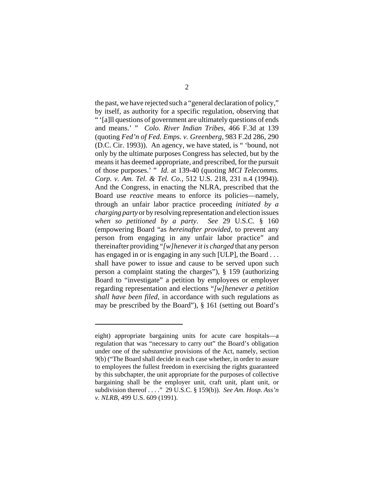the past, we have rejected such a "general declaration of policy," by itself, as authority for a specific regulation, observing that " '[a]ll questions of government are ultimately questions of ends and means.' " *Colo. River Indian Tribes*, 466 F.3d at 139 (quoting *Fed'n of Fed. Emps. v. Greenberg*, 983 F.2d 286, 290 (D.C. Cir. 1993)). An agency, we have stated, is " 'bound, not only by the ultimate purposes Congress has selected, but by the means it has deemed appropriate, and prescribed, for the pursuit of those purposes.' " *Id*. at 139-40 (quoting *MCI Telecomms. Corp. v. Am. Tel. & Tel. Co.*, 512 U.S. 218, 231 n.4 (1994)). And the Congress, in enacting the NLRA, prescribed that the Board use *reactive* means to enforce its policies—namely, through an unfair labor practice proceeding *initiated by a charging party* or by resolving representation and election issues *when so petitioned by a party*. *See* 29 U.S.C. § 160 (empowering Board "as *hereinafter provided*, to prevent any person from engaging in any unfair labor practice" and thereinafter providing "*[w]henever it is charged* that any person has engaged in or is engaging in any such [ULP], the Board ... shall have power to issue and cause to be served upon such person a complaint stating the charges"), § 159 (authorizing Board to "investigate" a petition by employees or employer regarding representation and elections "*[w]henever a petition shall have been filed*, in accordance with such regulations as may be prescribed by the Board"), § 161 (setting out Board's

eight) appropriate bargaining units for acute care hospitals—a regulation that was "necessary to carry out" the Board's obligation under one of the *substantive* provisions of the Act, namely, section 9(b) ("The Board shall decide in each case whether, in order to assure to employees the fullest freedom in exercising the rights guaranteed by this subchapter, the unit appropriate for the purposes of collective bargaining shall be the employer unit, craft unit, plant unit, or subdivision thereof . . . ." 29 U.S.C. § 159(b)). *See Am. Hosp. Ass'n v. NLRB*, 499 U.S. 609 (1991).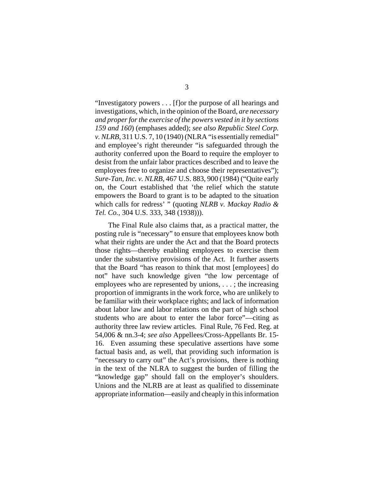"Investigatory powers . . . [f]or the purpose of all hearings and investigations, which, in the opinion of the Board, *are necessary and proper for the exercise of the powers vested in it by sections 159 and 160*) (emphases added); *see also Republic Steel Corp. v. NLRB*, 311 U.S. 7, 10 (1940) (NLRA "is essentially remedial" and employee's right thereunder "is safeguarded through the authority conferred upon the Board to require the employer to desist from the unfair labor practices described and to leave the employees free to organize and choose their representatives"); *Sure-Tan, Inc. v. NLRB*, 467 U.S. 883, 900 (1984) ("Quite early on, the Court established that 'the relief which the statute empowers the Board to grant is to be adapted to the situation which calls for redress' " (quoting *NLRB v. Mackay Radio & Tel. Co.*, 304 U.S. 333, 348 (1938))).

The Final Rule also claims that, as a practical matter, the posting rule is "necessary" to ensure that employees know both what their rights are under the Act and that the Board protects those rights—thereby enabling employees to exercise them under the substantive provisions of the Act. It further asserts that the Board "has reason to think that most [employees] do not" have such knowledge given "the low percentage of employees who are represented by unions, . . . ; the increasing proportion of immigrants in the work force, who are unlikely to be familiar with their workplace rights; and lack of information about labor law and labor relations on the part of high school students who are about to enter the labor force"—citing as authority three law review articles. Final Rule, 76 Fed. Reg. at 54,006 & nn.3-4; *see also* Appellees/Cross-Appellants Br. 15- 16. Even assuming these speculative assertions have some factual basis and, as well, that providing such information is "necessary to carry out" the Act's provisions, there is nothing in the text of the NLRA to suggest the burden of filling the "knowledge gap" should fall on the employer's shoulders. Unions and the NLRB are at least as qualified to disseminate appropriate information—easily and cheaply in this information